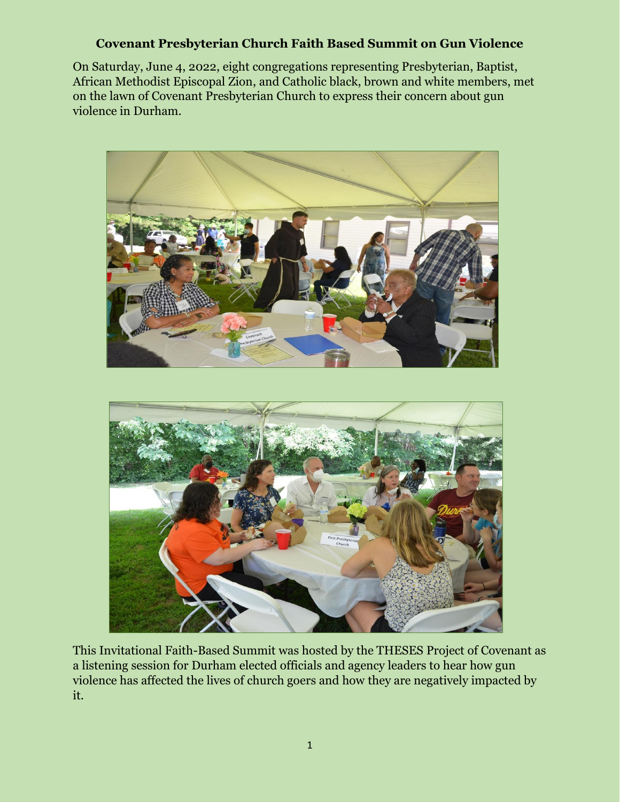## **Covenant Presbyterian Church Faith Based Summit on Gun Violence**

On Saturday, June 4, 2022, eight congregations representing Presbyterian, Baptist, African Methodist Episcopal Zion, and Catholic black, brown and white members, met on the lawn of Covenant Presbyterian Church to express their concern about gun violence in Durham.



This Invitational Faith-Based Summit was hosted by the THESES Project of Covenant as a listening session for Durham elected officials and agency leaders to hear how gun violence has affected the lives of church goers and how they are negatively impacted by it.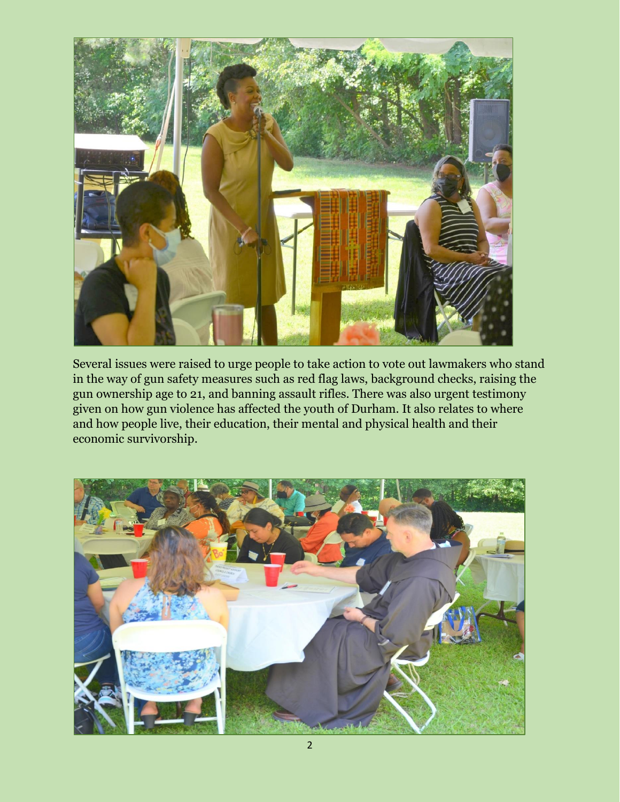

Several issues were raised to urge people to take action to vote out lawmakers who stand in the way of gun safety measures such as red flag laws, background checks, raising the gun ownership age to 21, and banning assault rifles. There was also urgent testimony given on how gun violence has affected the youth of Durham. It also relates to where and how people live, their education, their mental and physical health and their economic survivorship.